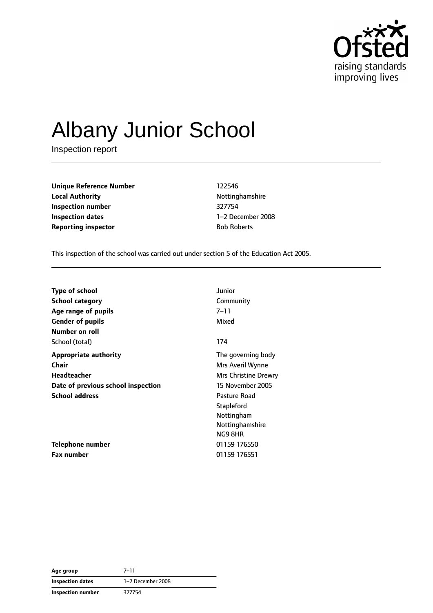

# Albany Junior School

Inspection report

**Unique Reference Number** 122546 **Local Authority Nottinghamshire Inspection number** 327754 **Inspection dates** 1–2 December 2008 **Reporting inspector by Roberts** Bob Roberts

This inspection of the school was carried out under section 5 of the Education Act 2005.

| <b>Type of school</b>              | Junior               |
|------------------------------------|----------------------|
| School category                    | Community            |
| Age range of pupils                | 7–11                 |
| <b>Gender of pupils</b>            | Mixed                |
| Number on roll                     |                      |
| School (total)                     | 174                  |
| <b>Appropriate authority</b>       | The governing body   |
| Chair                              | Mrs Averil Wynne     |
| Headteacher                        | Mrs Christine Drewry |
| Date of previous school inspection | 15 November 2005     |
| <b>School address</b>              | Pasture Road         |
|                                    | <b>Stapleford</b>    |
|                                    | Nottingham           |
|                                    | Nottinghamshire      |
|                                    | NG9 8HR              |
| <b>Telephone number</b>            | 01159 176550         |
| <b>Fax number</b>                  | 01159 176551         |

| Age group               | $7 - 11$          |
|-------------------------|-------------------|
| <b>Inspection dates</b> | 1-2 December 2008 |
| Inspection number       | 327754            |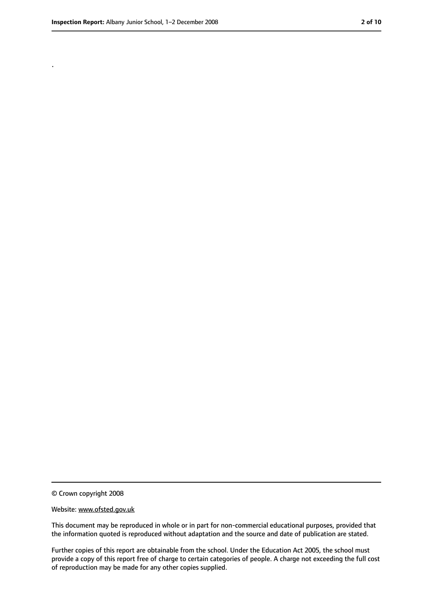.

<sup>©</sup> Crown copyright 2008

Website: www.ofsted.gov.uk

This document may be reproduced in whole or in part for non-commercial educational purposes, provided that the information quoted is reproduced without adaptation and the source and date of publication are stated.

Further copies of this report are obtainable from the school. Under the Education Act 2005, the school must provide a copy of this report free of charge to certain categories of people. A charge not exceeding the full cost of reproduction may be made for any other copies supplied.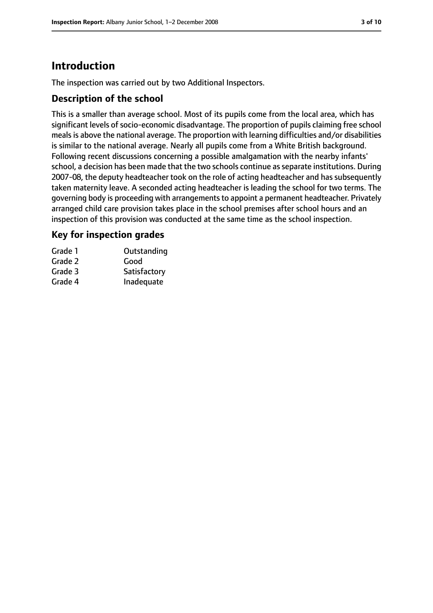# **Introduction**

The inspection was carried out by two Additional Inspectors.

## **Description of the school**

This is a smaller than average school. Most of its pupils come from the local area, which has significant levels of socio-economic disadvantage. The proportion of pupils claiming free school meals is above the national average. The proportion with learning difficulties and/or disabilities is similar to the national average. Nearly all pupils come from a White British background. Following recent discussions concerning a possible amalgamation with the nearby infants' school, a decision has been made that the two schools continue as separate institutions. During 2007-08, the deputy headteacher took on the role of acting headteacher and has subsequently taken maternity leave. A seconded acting headteacher is leading the school for two terms. The governing body is proceeding with arrangements to appoint a permanent headteacher. Privately arranged child care provision takes place in the school premises after school hours and an inspection of this provision was conducted at the same time as the school inspection.

## **Key for inspection grades**

| Grade 1 | Outstanding  |
|---------|--------------|
| Grade 2 | Good         |
| Grade 3 | Satisfactory |
| Grade 4 | Inadequate   |
|         |              |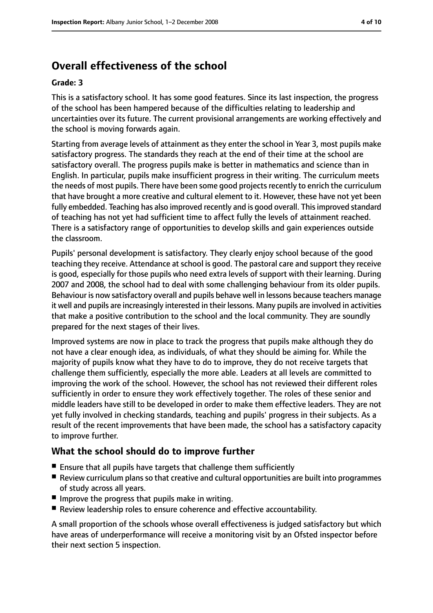# **Overall effectiveness of the school**

#### **Grade: 3**

This is a satisfactory school. It has some good features. Since its last inspection, the progress of the school has been hampered because of the difficulties relating to leadership and uncertainties over its future. The current provisional arrangements are working effectively and the school is moving forwards again.

Starting from average levels of attainment as they enter the school in Year 3, most pupils make satisfactory progress. The standards they reach at the end of their time at the school are satisfactory overall. The progress pupils make is better in mathematics and science than in English. In particular, pupils make insufficient progress in their writing. The curriculum meets the needs of most pupils. There have been some good projects recently to enrich the curriculum that have brought a more creative and cultural element to it. However, these have not yet been fully embedded. Teaching has also improved recently and is good overall. This improved standard of teaching has not yet had sufficient time to affect fully the levels of attainment reached. There is a satisfactory range of opportunities to develop skills and gain experiences outside the classroom.

Pupils' personal development is satisfactory. They clearly enjoy school because of the good teaching they receive. Attendance at school is good. The pastoral care and support they receive is good, especially for those pupils who need extra levels of support with their learning. During 2007 and 2008, the school had to deal with some challenging behaviour from its older pupils. Behaviour is now satisfactory overall and pupils behave well in lessons because teachers manage it well and pupils are increasingly interested in their lessons. Many pupils are involved in activities that make a positive contribution to the school and the local community. They are soundly prepared for the next stages of their lives.

Improved systems are now in place to track the progress that pupils make although they do not have a clear enough idea, as individuals, of what they should be aiming for. While the majority of pupils know what they have to do to improve, they do not receive targets that challenge them sufficiently, especially the more able. Leaders at all levels are committed to improving the work of the school. However, the school has not reviewed their different roles sufficiently in order to ensure they work effectively together. The roles of these senior and middle leaders have still to be developed in order to make them effective leaders. They are not yet fully involved in checking standards, teaching and pupils' progress in their subjects. As a result of the recent improvements that have been made, the school has a satisfactory capacity to improve further.

## **What the school should do to improve further**

- Ensure that all pupils have targets that challenge them sufficiently
- Review curriculum plans so that creative and cultural opportunities are built into programmes of study across all years.
- Improve the progress that pupils make in writing.
- Review leadership roles to ensure coherence and effective accountability.

A small proportion of the schools whose overall effectiveness is judged satisfactory but which have areas of underperformance will receive a monitoring visit by an Ofsted inspector before their next section 5 inspection.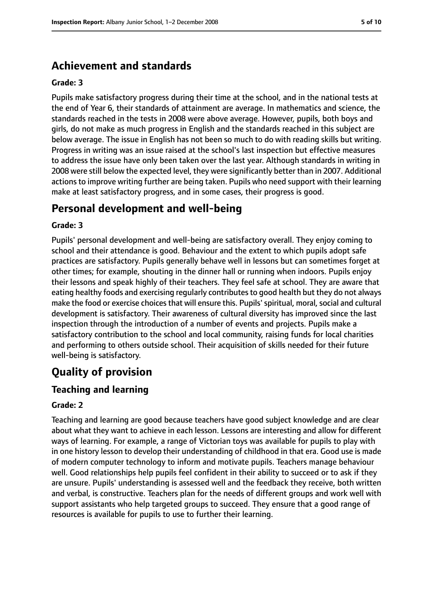# **Achievement and standards**

#### **Grade: 3**

Pupils make satisfactory progress during their time at the school, and in the national tests at the end of Year 6, their standards of attainment are average. In mathematics and science, the standards reached in the tests in 2008 were above average. However, pupils, both boys and girls, do not make as much progress in English and the standards reached in this subject are below average. The issue in English has not been so much to do with reading skills but writing. Progress in writing was an issue raised at the school's last inspection but effective measures to address the issue have only been taken over the last year. Although standards in writing in 2008 were still below the expected level, they were significantly better than in 2007. Additional actions to improve writing further are being taken. Pupils who need support with their learning make at least satisfactory progress, and in some cases, their progress is good.

# **Personal development and well-being**

#### **Grade: 3**

Pupils' personal development and well-being are satisfactory overall. They enjoy coming to school and their attendance is good. Behaviour and the extent to which pupils adopt safe practices are satisfactory. Pupils generally behave well in lessons but can sometimes forget at other times; for example, shouting in the dinner hall or running when indoors. Pupils enjoy their lessons and speak highly of their teachers. They feel safe at school. They are aware that eating healthy foods and exercising regularly contributes to good health but they do not always make the food or exercise choices that will ensure this. Pupils' spiritual, moral, social and cultural development is satisfactory. Their awareness of cultural diversity has improved since the last inspection through the introduction of a number of events and projects. Pupils make a satisfactory contribution to the school and local community, raising funds for local charities and performing to others outside school. Their acquisition of skills needed for their future well-being is satisfactory.

# **Quality of provision**

## **Teaching and learning**

#### **Grade: 2**

Teaching and learning are good because teachers have good subject knowledge and are clear about what they want to achieve in each lesson. Lessons are interesting and allow for different ways of learning. For example, a range of Victorian toys was available for pupils to play with in one history lesson to develop their understanding of childhood in that era. Good use is made of modern computer technology to inform and motivate pupils. Teachers manage behaviour well. Good relationships help pupils feel confident in their ability to succeed or to ask if they are unsure. Pupils' understanding is assessed well and the feedback they receive, both written and verbal, is constructive. Teachers plan for the needs of different groups and work well with support assistants who help targeted groups to succeed. They ensure that a good range of resources is available for pupils to use to further their learning.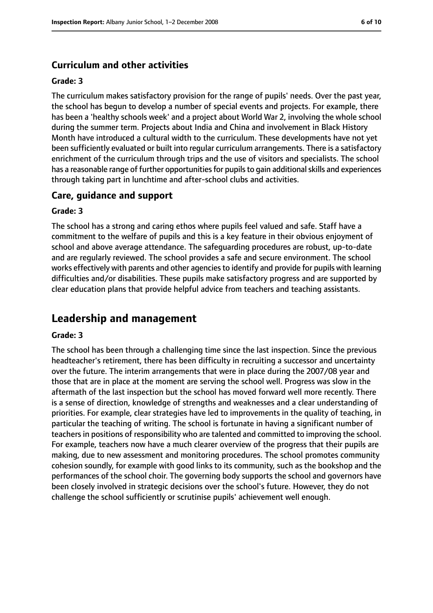#### **Curriculum and other activities**

#### **Grade: 3**

The curriculum makes satisfactory provision for the range of pupils' needs. Over the past year, the school has begun to develop a number of special events and projects. For example, there has been a 'healthy schools week' and a project about World War 2, involving the whole school during the summer term. Projects about India and China and involvement in Black History Month have introduced a cultural width to the curriculum. These developments have not yet been sufficiently evaluated or built into regular curriculum arrangements. There is a satisfactory enrichment of the curriculum through trips and the use of visitors and specialists. The school has a reasonable range of further opportunities for pupils to gain additional skills and experiences through taking part in lunchtime and after-school clubs and activities.

#### **Care, guidance and support**

#### **Grade: 3**

The school has a strong and caring ethos where pupils feel valued and safe. Staff have a commitment to the welfare of pupils and this is a key feature in their obvious enjoyment of school and above average attendance. The safeguarding procedures are robust, up-to-date and are regularly reviewed. The school provides a safe and secure environment. The school works effectively with parents and other agenciesto identify and provide for pupils with learning difficulties and/or disabilities. These pupils make satisfactory progress and are supported by clear education plans that provide helpful advice from teachers and teaching assistants.

## **Leadership and management**

#### **Grade: 3**

The school has been through a challenging time since the last inspection. Since the previous headteacher's retirement, there has been difficulty in recruiting a successor and uncertainty over the future. The interim arrangements that were in place during the 2007/08 year and those that are in place at the moment are serving the school well. Progress was slow in the aftermath of the last inspection but the school has moved forward well more recently. There is a sense of direction, knowledge of strengths and weaknesses and a clear understanding of priorities. For example, clear strategies have led to improvements in the quality of teaching, in particular the teaching of writing. The school is fortunate in having a significant number of teachers in positions of responsibility who are talented and committed to improving the school. For example, teachers now have a much clearer overview of the progress that their pupils are making, due to new assessment and monitoring procedures. The school promotes community cohesion soundly, for example with good links to its community, such as the bookshop and the performances of the school choir. The governing body supports the school and governors have been closely involved in strategic decisions over the school's future. However, they do not challenge the school sufficiently or scrutinise pupils' achievement well enough.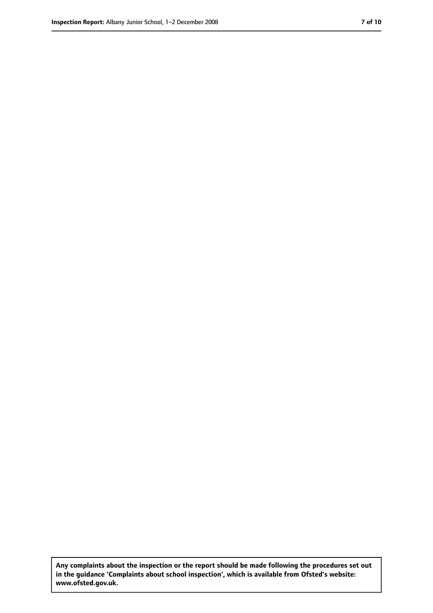**Any complaints about the inspection or the report should be made following the procedures set out in the guidance 'Complaints about school inspection', which is available from Ofsted's website: www.ofsted.gov.uk.**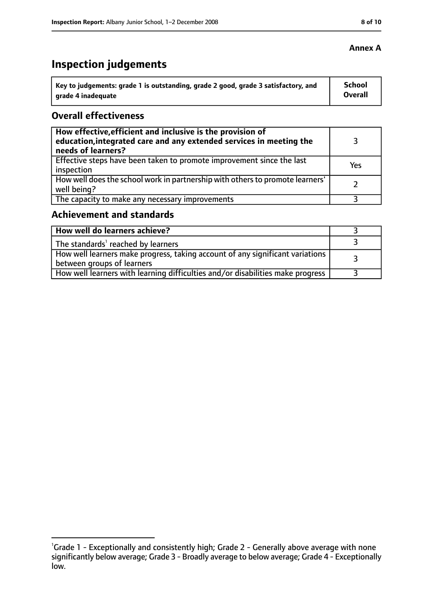# **Inspection judgements**

| ˈ Key to judgements: grade 1 is outstanding, grade 2 good, grade 3 satisfactory, and | <b>School</b>  |
|--------------------------------------------------------------------------------------|----------------|
| arade 4 inadequate                                                                   | <b>Overall</b> |

### **Overall effectiveness**

| How effective, efficient and inclusive is the provision of<br>education, integrated care and any extended services in meeting the<br>needs of learners? |     |
|---------------------------------------------------------------------------------------------------------------------------------------------------------|-----|
| Effective steps have been taken to promote improvement since the last<br>inspection                                                                     | Yes |
| How well does the school work in partnership with others to promote learners'<br>well being?                                                            |     |
| The capacity to make any necessary improvements                                                                                                         |     |

## **Achievement and standards**

| How well do learners achieve?                                                                               |  |
|-------------------------------------------------------------------------------------------------------------|--|
| $\perp$ The standards <sup>1</sup> reached by learners                                                      |  |
| How well learners make progress, taking account of any significant variations<br>between groups of learners |  |
| How well learners with learning difficulties and/or disabilities make progress                              |  |

#### **Annex A**

<sup>&</sup>lt;sup>1</sup>Grade 1 - Exceptionally and consistently high; Grade 2 - Generally above average with none significantly below average; Grade 3 - Broadly average to below average; Grade 4 - Exceptionally low.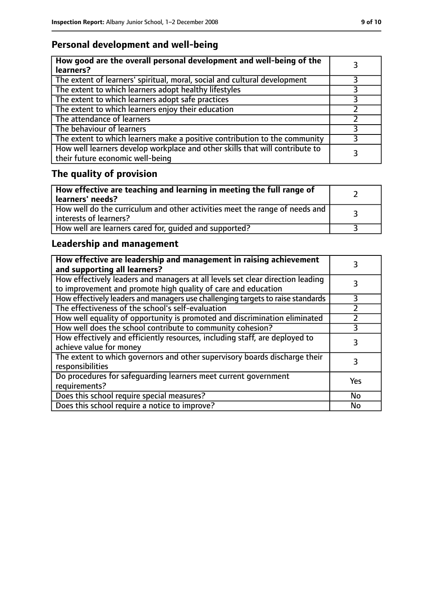# **Personal development and well-being**

| How good are the overall personal development and well-being of the<br>learners?                                 |   |
|------------------------------------------------------------------------------------------------------------------|---|
| The extent of learners' spiritual, moral, social and cultural development                                        |   |
| The extent to which learners adopt healthy lifestyles                                                            |   |
| The extent to which learners adopt safe practices                                                                |   |
| The extent to which learners enjoy their education                                                               |   |
| The attendance of learners                                                                                       |   |
| The behaviour of learners                                                                                        |   |
| The extent to which learners make a positive contribution to the community                                       | 3 |
| How well learners develop workplace and other skills that will contribute to<br>their future economic well-being |   |

# **The quality of provision**

| How effective are teaching and learning in meeting the full range of<br>learners' needs?              |  |
|-------------------------------------------------------------------------------------------------------|--|
| How well do the curriculum and other activities meet the range of needs and<br>interests of learners? |  |
| How well are learners cared for, quided and supported?                                                |  |

# **Leadership and management**

| How effective are leadership and management in raising achievement<br>and supporting all learners?                                              |           |
|-------------------------------------------------------------------------------------------------------------------------------------------------|-----------|
| How effectively leaders and managers at all levels set clear direction leading<br>to improvement and promote high quality of care and education |           |
| How effectively leaders and managers use challenging targets to raise standards                                                                 | 3         |
| The effectiveness of the school's self-evaluation                                                                                               |           |
| How well equality of opportunity is promoted and discrimination eliminated                                                                      |           |
| How well does the school contribute to community cohesion?                                                                                      | 3         |
| How effectively and efficiently resources, including staff, are deployed to<br>achieve value for money                                          | 3         |
| The extent to which governors and other supervisory boards discharge their<br>responsibilities                                                  |           |
| Do procedures for safequarding learners meet current government<br>requirements?                                                                | Yes       |
| Does this school require special measures?                                                                                                      | <b>No</b> |
| Does this school require a notice to improve?                                                                                                   | No        |